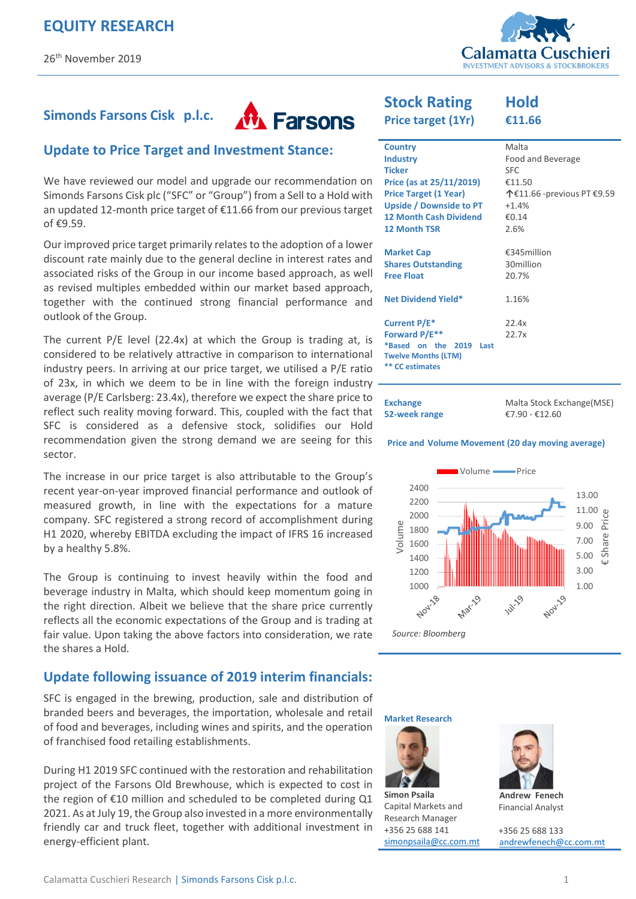

#### **M** Farsons **Simonds Farsons Cisk p.l.c.**

### **Update to Price Target and Investment Stance:**

We have reviewed our model and upgrade our recommendation on Simonds Farsons Cisk plc ("SFC" or "Group") from a Sell to a Hold with an updated 12-month price target of €11.66 from our previous target of €9.59.

Our improved price target primarily relates to the adoption of a lower discount rate mainly due to the general decline in interest rates and associated risks of the Group in our income based approach, as well as revised multiples embedded within our market based approach, together with the continued strong financial performance and outlook of the Group.

The current P/E level (22.4x) at which the Group is trading at, is considered to be relatively attractive in comparison to international industry peers. In arriving at our price target, we utilised a P/E ratio of 23x, in which we deem to be in line with the foreign industry average (P/E Carlsberg: 23.4x), therefore we expect the share price to reflect such reality moving forward. This, coupled with the fact that SFC is considered as a defensive stock, solidifies our Hold recommendation given the strong demand we are seeing for this sector.

The increase in our price target is also attributable to the Group's recent year-on-year improved financial performance and outlook of measured growth, in line with the expectations for a mature company. SFC registered a strong record of accomplishment during H1 2020, whereby EBITDA excluding the impact of IFRS 16 increased by a healthy 5.8%.

The Group is continuing to invest heavily within the food and beverage industry in Malta, which should keep momentum going in the right direction. Albeit we believe that the share price currently reflects all the economic expectations of the Group and is trading at fair value. Upon taking the above factors into consideration, we rate the shares a Hold.

#### **Update following issuance of 2019 interim financials:**

SFC is engaged in the brewing, production, sale and distribution of branded beers and beverages, the importation, wholesale and retail of food and beverages, including wines and spirits, and the operation of franchised food retailing establishments.

During H1 2019 SFC continued with the restoration and rehabilitation project of the Farsons Old Brewhouse, which is expected to cost in the region of €10 million and scheduled to be completed during Q1 2021. As at July 19, the Group also invested in a more environmentally friendly car and truck fleet, together with additional investment in energy-efficient plant.

# **Stock Rating**

**Price target (1Yr)** 

**Hold €11.66** 

| <b>Country</b>                | Malta                      |
|-------------------------------|----------------------------|
| <b>Industry</b>               | Food and Beverage          |
| <b>Ticker</b>                 | SFC.                       |
| Price (as at 25/11/2019)      | €11.50                     |
| <b>Price Target (1 Year)</b>  | 个€11.66 -previous PT €9.59 |
| Upside / Downside to PT       | $+1.4%$                    |
| <b>12 Month Cash Dividend</b> | €0.14                      |
| <b>12 Month TSR</b>           | 2.6%                       |
|                               |                            |
| <b>Market Cap</b>             | €345million                |
| <b>Shares Outstanding</b>     | 30million                  |
| <b>Free Float</b>             | 20.7%                      |
|                               |                            |
| <b>Net Dividend Yield*</b>    | 1.16%                      |
|                               |                            |
| Current P/E*                  | 22.4x                      |
| Forward P/E**                 | 22.7x                      |
| *Based on the<br>2019<br>Last |                            |
| <b>Twelve Months (LTM)</b>    |                            |
| <b>CC</b> estimates           |                            |
|                               |                            |

| <b>Exchange</b> | Malta Stock Exchange (MSE) |  |  |  |
|-----------------|----------------------------|--|--|--|
| 52-week range   | €7.90 - €12.60             |  |  |  |

#### **Price and Volume Movement (20 day moving average)**



**Market Research** 



**Simon Psaila**  Capital Markets and Research Manager +356 25 688 141 [simonpsaila@cc.com.mt](mailto:simonpsaila@cc.com.mt)



**Andrew Fenech**  Financial Analyst

+356 25 688 133 [andrewfenech@cc.com.mt](mailto:rowenbonello@cc.com.mt)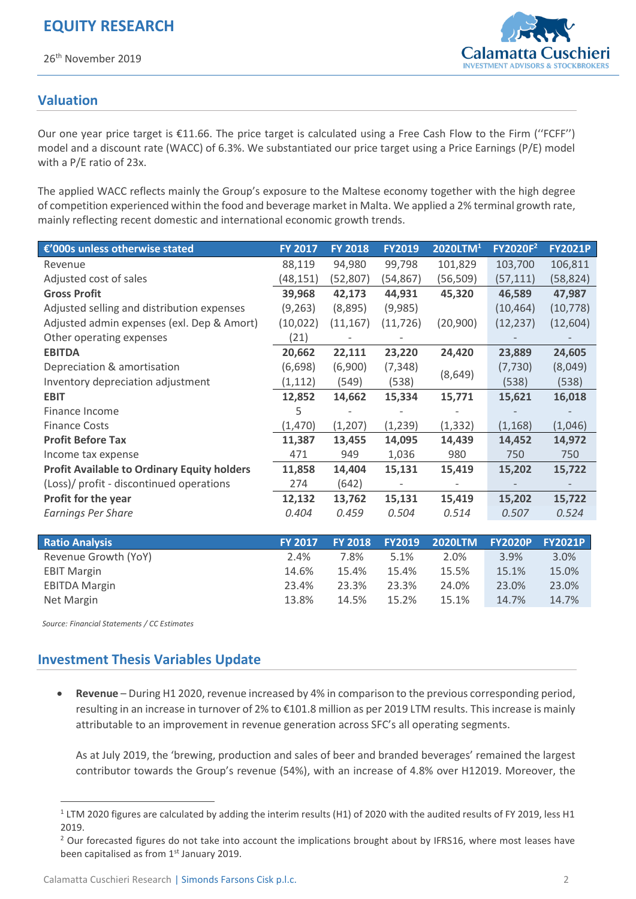26th November 2019



## **Valuation**

Our one year price target is €11.66. The price target is calculated using a Free Cash Flow to the Firm (''FCFF'') model and a discount rate (WACC) of 6.3%. We substantiated our price target using a Price Earnings (P/E) model with a P/E ratio of 23x.

The applied WACC reflects mainly the Group's exposure to the Maltese economy together with the high degree of competition experienced within the food and beverage market in Malta. We applied a 2% terminal growth rate, mainly reflecting recent domestic and international economic growth trends.

| €'000s unless otherwise stated                     | <b>FY 2017</b> | <b>FY 2018</b> | <b>FY2019</b> | 2020LTM <sup>1</sup> | FY2020F <sup>2</sup> | <b>FY2021P</b> |
|----------------------------------------------------|----------------|----------------|---------------|----------------------|----------------------|----------------|
| Revenue                                            | 88,119         | 94,980         | 99,798        | 101,829              | 103,700              | 106,811        |
| Adjusted cost of sales                             | (48,151)       | (52, 807)      | (54,867)      | (56, 509)            | (57, 111)            | (58, 824)      |
| <b>Gross Profit</b>                                | 39,968         | 42,173         | 44,931        | 45,320               | 46,589               | 47,987         |
| Adjusted selling and distribution expenses         | (9, 263)       | (8,895)        | (9,985)       |                      | (10, 464)            | (10, 778)      |
| Adjusted admin expenses (exl. Dep & Amort)         | (10, 022)      | (11, 167)      | (11, 726)     | (20,900)             | (12, 237)            | (12, 604)      |
| Other operating expenses                           | (21)           |                |               |                      |                      |                |
| <b>EBITDA</b>                                      | 20,662         | 22,111         | 23,220        | 24,420               | 23,889               | 24,605         |
| Depreciation & amortisation                        | (6,698)        | (6,900)        | (7, 348)      |                      | (7, 730)             | (8,049)        |
| Inventory depreciation adjustment                  | (1, 112)       | (549)          | (538)         | (8,649)              | (538)                | (538)          |
| <b>EBIT</b>                                        | 12,852         | 14,662         | 15,334        | 15,771               | 15,621               | 16,018         |
| Finance Income                                     | 5              |                |               |                      |                      |                |
| <b>Finance Costs</b>                               | (1,470)        | (1, 207)       | (1, 239)      | (1, 332)             | (1, 168)             | (1,046)        |
| <b>Profit Before Tax</b>                           | 11,387         | 13,455         | 14,095        | 14,439               | 14,452               | 14,972         |
| Income tax expense                                 | 471            | 949            | 1,036         | 980                  | 750                  | 750            |
| <b>Profit Available to Ordinary Equity holders</b> | 11,858         | 14,404         | 15,131        | 15,419               | 15,202               | 15,722         |
| (Loss)/ profit - discontinued operations           | 274            | (642)          |               |                      |                      |                |
| <b>Profit for the year</b>                         | 12,132         | 13,762         | 15,131        | 15,419               | 15,202               | 15,722         |
| <b>Earnings Per Share</b>                          | 0.404          | 0.459          | 0.504         | 0.514                | 0.507                | 0.524          |
|                                                    |                |                |               |                      |                      |                |
| <b>Ratio Analysis</b>                              | <b>FY 2017</b> | <b>FY 2018</b> | <b>FY2019</b> | <b>2020LTM</b>       | <b>FY2020P</b>       | <b>FY2021P</b> |
| Revenue Growth (YoY)                               | 2.4%           | 7.8%           | 5.1%          | 2.0%                 | 3.9%                 | 3.0%           |
| <b>EBIT Margin</b>                                 | 14.6%          | 15.4%          | 15.4%         | 15.5%                | 15.1%                | 15.0%          |
| <b>EBITDA Margin</b>                               | 23.4%          | 23.3%          | 23.3%         | 24.0%                | 23.0%                | 23.0%          |
| Net Margin                                         | 13.8%          | 14.5%          | 15.2%         | 15.1%                | 14.7%                | 14.7%          |

*Source: Financial Statements / CC Estimates* 

1

## **Investment Thesis Variables Update**

 **Revenue** – During H1 2020, revenue increased by 4% in comparison to the previous corresponding period, resulting in an increase in turnover of 2% to €101.8 million as per 2019 LTM results. This increase is mainly attributable to an improvement in revenue generation across SFC's all operating segments.

As at July 2019, the 'brewing, production and sales of beer and branded beverages' remained the largest contributor towards the Group's revenue (54%), with an increase of 4.8% over H12019. Moreover, the

 $1$  LTM 2020 figures are calculated by adding the interim results (H1) of 2020 with the audited results of FY 2019, less H1 2019.

<sup>&</sup>lt;sup>2</sup> Our forecasted figures do not take into account the implications brought about by IFRS16, where most leases have been capitalised as from  $1<sup>st</sup>$  January 2019.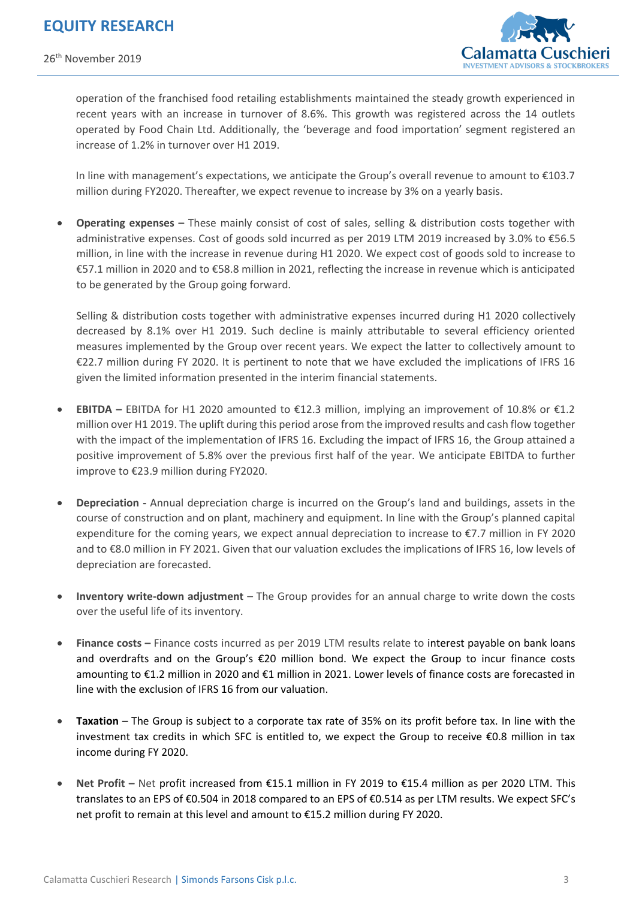26th November 2019



operation of the franchised food retailing establishments maintained the steady growth experienced in recent years with an increase in turnover of 8.6%. This growth was registered across the 14 outlets operated by Food Chain Ltd. Additionally, the 'beverage and food importation' segment registered an increase of 1.2% in turnover over H1 2019.

In line with management's expectations, we anticipate the Group's overall revenue to amount to €103.7 million during FY2020. Thereafter, we expect revenue to increase by 3% on a yearly basis.

 **Operating expenses –** These mainly consist of cost of sales, selling & distribution costs together with administrative expenses. Cost of goods sold incurred as per 2019 LTM 2019 increased by 3.0% to €56.5 million, in line with the increase in revenue during H1 2020. We expect cost of goods sold to increase to €57.1 million in 2020 and to €58.8 million in 2021, reflecting the increase in revenue which is anticipated to be generated by the Group going forward.

Selling & distribution costs together with administrative expenses incurred during H1 2020 collectively decreased by 8.1% over H1 2019. Such decline is mainly attributable to several efficiency oriented measures implemented by the Group over recent years. We expect the latter to collectively amount to €22.7 million during FY 2020. It is pertinent to note that we have excluded the implications of IFRS 16 given the limited information presented in the interim financial statements.

- **EBITDA** EBITDA for H1 2020 amounted to  $\epsilon$ 12.3 million, implying an improvement of 10.8% or  $\epsilon$ 1.2 million over H1 2019. The uplift during this period arose from the improved results and cash flow together with the impact of the implementation of IFRS 16. Excluding the impact of IFRS 16, the Group attained a positive improvement of 5.8% over the previous first half of the year. We anticipate EBITDA to further improve to €23.9 million during FY2020.
- **Depreciation** Annual depreciation charge is incurred on the Group's land and buildings, assets in the course of construction and on plant, machinery and equipment. In line with the Group's planned capital expenditure for the coming years, we expect annual depreciation to increase to €7.7 million in FY 2020 and to €8.0 million in FY 2021. Given that our valuation excludes the implications of IFRS 16, low levels of depreciation are forecasted.
- **Inventory write-down adjustment** The Group provides for an annual charge to write down the costs over the useful life of its inventory.
- **Finance costs –** Finance costs incurred as per 2019 LTM results relate to interest payable on bank loans and overdrafts and on the Group's €20 million bond. We expect the Group to incur finance costs amounting to €1.2 million in 2020 and €1 million in 2021. Lower levels of finance costs are forecasted in line with the exclusion of IFRS 16 from our valuation.
- **Taxation** The Group is subject to a corporate tax rate of 35% on its profit before tax. In line with the investment tax credits in which SFC is entitled to, we expect the Group to receive €0.8 million in tax income during FY 2020.
- **Net Profit –** Net profit increased from €15.1 million in FY 2019 to €15.4 million as per 2020 LTM. This translates to an EPS of €0.504 in 2018 compared to an EPS of €0.514 as per LTM results. We expect SFC's net profit to remain at this level and amount to €15.2 million during FY 2020.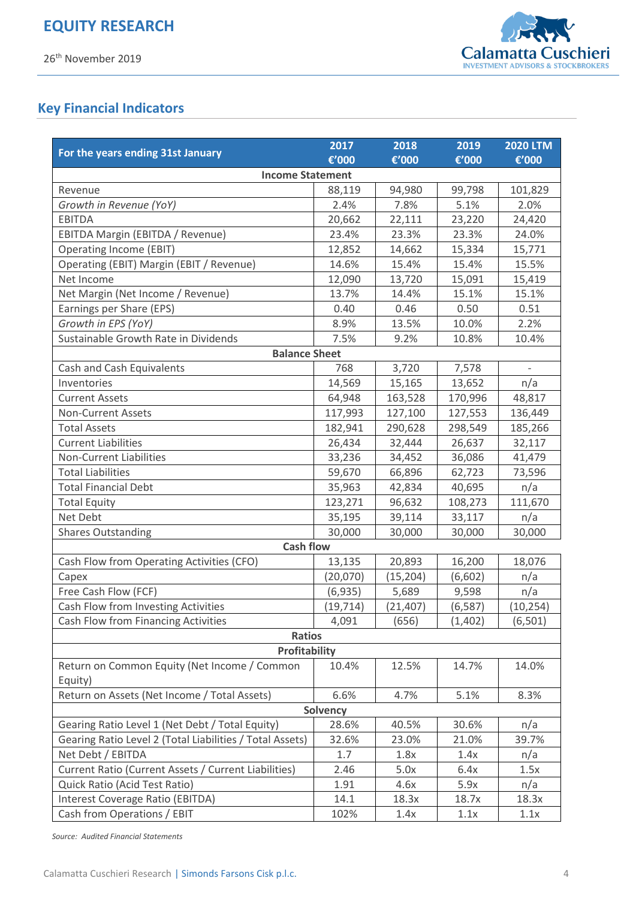

# **Key Financial Indicators**

|                                                          | 2017            | 2018      | 2019     | <b>2020 LTM</b> |  |  |
|----------------------------------------------------------|-----------------|-----------|----------|-----------------|--|--|
| For the years ending 31st January                        | €'000           | €'000     | €'000    | €'000           |  |  |
| <b>Income Statement</b>                                  |                 |           |          |                 |  |  |
| Revenue                                                  | 88,119          | 94,980    | 99,798   | 101,829         |  |  |
| Growth in Revenue (YoY)                                  | 2.4%            | 7.8%      | 5.1%     | 2.0%            |  |  |
| <b>EBITDA</b>                                            | 20,662          | 22,111    | 23,220   | 24,420          |  |  |
| EBITDA Margin (EBITDA / Revenue)                         | 23.4%           | 23.3%     | 23.3%    | 24.0%           |  |  |
| Operating Income (EBIT)                                  | 12,852          | 14,662    | 15,334   | 15,771          |  |  |
| Operating (EBIT) Margin (EBIT / Revenue)                 | 14.6%           | 15.4%     | 15.4%    | 15.5%           |  |  |
| Net Income                                               | 12,090          | 13,720    | 15,091   | 15,419          |  |  |
| Net Margin (Net Income / Revenue)                        | 13.7%           | 14.4%     | 15.1%    | 15.1%           |  |  |
| Earnings per Share (EPS)                                 | 0.40            | 0.46      | 0.50     | 0.51            |  |  |
| Growth in EPS (YoY)                                      | 8.9%            | 13.5%     | 10.0%    | 2.2%            |  |  |
| Sustainable Growth Rate in Dividends                     | 7.5%            | 9.2%      | 10.8%    | 10.4%           |  |  |
| <b>Balance Sheet</b>                                     |                 |           |          |                 |  |  |
| Cash and Cash Equivalents                                | 768             | 3,720     | 7,578    |                 |  |  |
| Inventories                                              | 14,569          | 15,165    | 13,652   | n/a             |  |  |
| <b>Current Assets</b>                                    | 64,948          | 163,528   | 170,996  | 48,817          |  |  |
| <b>Non-Current Assets</b>                                | 117,993         | 127,100   | 127,553  | 136,449         |  |  |
| <b>Total Assets</b>                                      | 182,941         | 290,628   | 298,549  | 185,266         |  |  |
| <b>Current Liabilities</b>                               | 26,434          | 32,444    | 26,637   | 32,117          |  |  |
| <b>Non-Current Liabilities</b>                           | 33,236          | 34,452    | 36,086   | 41,479          |  |  |
| <b>Total Liabilities</b>                                 | 59,670          | 66,896    | 62,723   | 73,596          |  |  |
| <b>Total Financial Debt</b>                              | 35,963          | 42,834    | 40,695   | n/a             |  |  |
| <b>Total Equity</b>                                      | 123,271         | 96,632    | 108,273  | 111,670         |  |  |
| Net Debt                                                 | 35,195          | 39,114    | 33,117   | n/a             |  |  |
| <b>Shares Outstanding</b>                                | 30,000          | 30,000    | 30,000   | 30,000          |  |  |
| <b>Cash flow</b>                                         |                 |           |          |                 |  |  |
| Cash Flow from Operating Activities (CFO)                | 13,135          | 20,893    | 16,200   | 18,076          |  |  |
| Capex                                                    | (20,070)        | (15, 204) | (6,602)  | n/a             |  |  |
| Free Cash Flow (FCF)                                     | (6, 935)        | 5,689     | 9,598    | n/a             |  |  |
| Cash Flow from Investing Activities                      | (19, 714)       | (21, 407) | (6, 587) | (10, 254)       |  |  |
| Cash Flow from Financing Activities                      | 4,091           | (656)     | (1,402)  | (6,501)         |  |  |
| <b>Ratios</b>                                            |                 |           |          |                 |  |  |
| <b>Profitability</b>                                     |                 |           |          |                 |  |  |
| Return on Common Equity (Net Income / Common             | 10.4%           | 12.5%     | 14.7%    | 14.0%           |  |  |
| Equity)                                                  |                 |           |          |                 |  |  |
| Return on Assets (Net Income / Total Assets)             | 6.6%            | 4.7%      | 5.1%     | 8.3%            |  |  |
|                                                          | <b>Solvency</b> |           |          |                 |  |  |
| Gearing Ratio Level 1 (Net Debt / Total Equity)          | 28.6%           | 40.5%     | 30.6%    | n/a             |  |  |
| Gearing Ratio Level 2 (Total Liabilities / Total Assets) | 32.6%           | 23.0%     | 21.0%    | 39.7%           |  |  |
| Net Debt / EBITDA                                        | 1.7             | 1.8x      | 1.4x     | n/a             |  |  |
| Current Ratio (Current Assets / Current Liabilities)     | 2.46            | 5.0x      | 6.4x     | 1.5x            |  |  |
| Quick Ratio (Acid Test Ratio)                            | 1.91            | 4.6x      | 5.9x     | n/a             |  |  |
| Interest Coverage Ratio (EBITDA)                         | 14.1            | 18.3x     | 18.7x    | 18.3x           |  |  |
| Cash from Operations / EBIT                              | 102%            | 1.4x      | 1.1x     | 1.1x            |  |  |

*Source: Audited Financial Statements*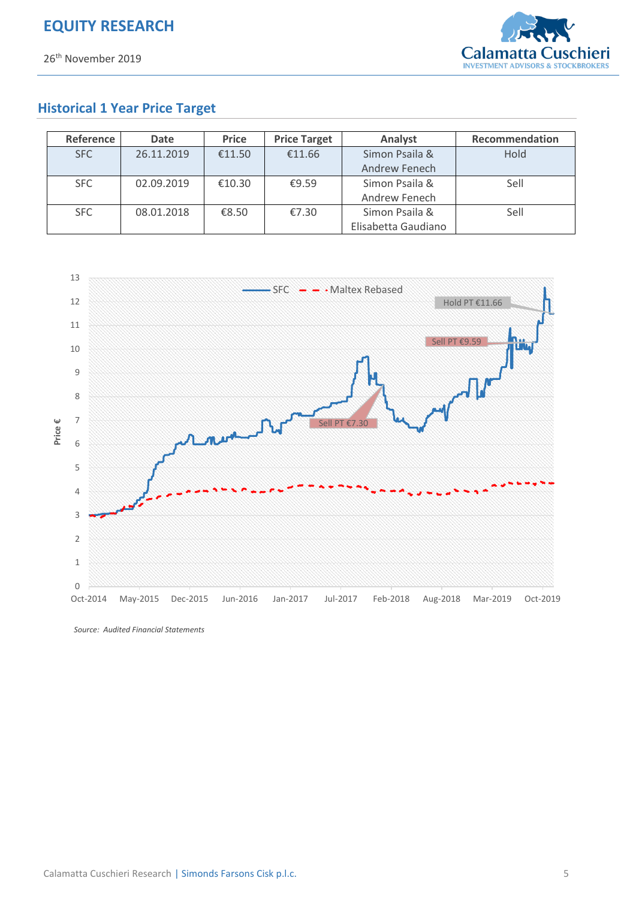

## **Historical 1 Year Price Target**

| Reference | Date       | <b>Price</b> | <b>Price Target</b> | Analyst             | Recommendation |
|-----------|------------|--------------|---------------------|---------------------|----------------|
| SFC       | 26.11.2019 | €11.50       | €11.66              | Simon Psaila &      | Hold           |
|           |            |              |                     | Andrew Fenech       |                |
| SFC       | 02.09.2019 | €10.30       | £9.59               | Simon Psaila &      | Sell           |
|           |            |              |                     | Andrew Fenech       |                |
| SFC.      | 08.01.2018 | €8.50        | €7.30               | Simon Psaila &      | Sell           |
|           |            |              |                     | Elisabetta Gaudiano |                |



*Source: Audited Financial Statements*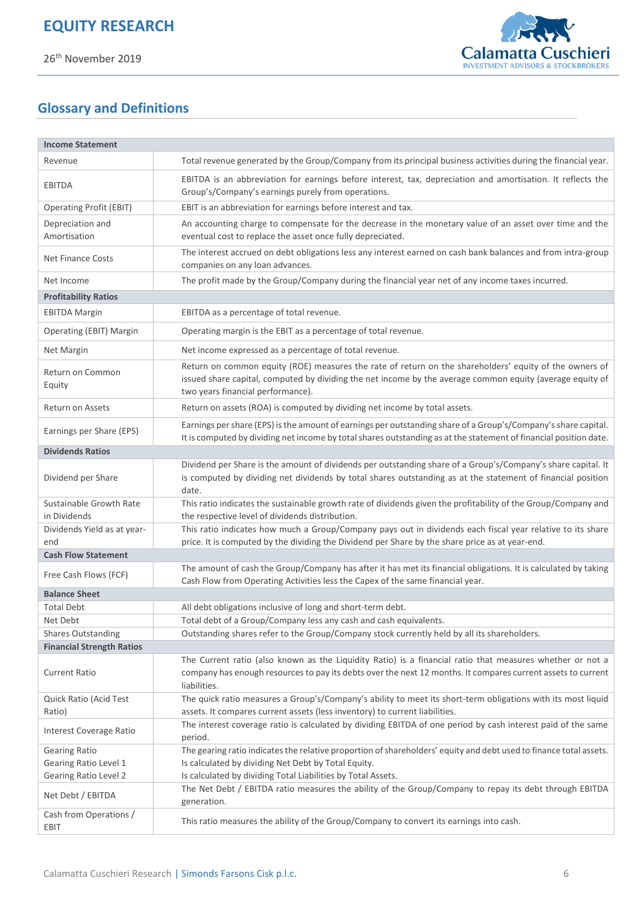

# **Glossary and Definitions**

| <b>Income Statement</b>                 |                                                                                                                                                                                                                                                          |
|-----------------------------------------|----------------------------------------------------------------------------------------------------------------------------------------------------------------------------------------------------------------------------------------------------------|
| Revenue                                 | Total revenue generated by the Group/Company from its principal business activities during the financial year.                                                                                                                                           |
| EBITDA                                  | EBITDA is an abbreviation for earnings before interest, tax, depreciation and amortisation. It reflects the<br>Group's/Company's earnings purely from operations.                                                                                        |
| <b>Operating Profit (EBIT)</b>          | EBIT is an abbreviation for earnings before interest and tax.                                                                                                                                                                                            |
| Depreciation and<br>Amortisation        | An accounting charge to compensate for the decrease in the monetary value of an asset over time and the<br>eventual cost to replace the asset once fully depreciated.                                                                                    |
| <b>Net Finance Costs</b>                | The interest accrued on debt obligations less any interest earned on cash bank balances and from intra-group<br>companies on any loan advances.                                                                                                          |
| Net Income                              | The profit made by the Group/Company during the financial year net of any income taxes incurred.                                                                                                                                                         |
| <b>Profitability Ratios</b>             |                                                                                                                                                                                                                                                          |
| <b>EBITDA Margin</b>                    | EBITDA as a percentage of total revenue.                                                                                                                                                                                                                 |
| Operating (EBIT) Margin                 | Operating margin is the EBIT as a percentage of total revenue.                                                                                                                                                                                           |
| <b>Net Margin</b>                       | Net income expressed as a percentage of total revenue.                                                                                                                                                                                                   |
| Return on Common<br>Equity              | Return on common equity (ROE) measures the rate of return on the shareholders' equity of the owners of<br>issued share capital, computed by dividing the net income by the average common equity (average equity of<br>two years financial performance). |
| <b>Return on Assets</b>                 | Return on assets (ROA) is computed by dividing net income by total assets.                                                                                                                                                                               |
| Earnings per Share (EPS)                | Earnings per share (EPS) is the amount of earnings per outstanding share of a Group's/Company's share capital.<br>It is computed by dividing net income by total shares outstanding as at the statement of financial position date.                      |
| <b>Dividends Ratios</b>                 |                                                                                                                                                                                                                                                          |
| Dividend per Share                      | Dividend per Share is the amount of dividends per outstanding share of a Group's/Company's share capital. It<br>is computed by dividing net dividends by total shares outstanding as at the statement of financial position<br>date.                     |
| Sustainable Growth Rate<br>in Dividends | This ratio indicates the sustainable growth rate of dividends given the profitability of the Group/Company and<br>the respective level of dividends distribution.                                                                                        |
| Dividends Yield as at year-<br>end      | This ratio indicates how much a Group/Company pays out in dividends each fiscal year relative to its share<br>price. It is computed by the dividing the Dividend per Share by the share price as at year-end.                                            |
| <b>Cash Flow Statement</b>              |                                                                                                                                                                                                                                                          |
| Free Cash Flows (FCF)                   | The amount of cash the Group/Company has after it has met its financial obligations. It is calculated by taking<br>Cash Flow from Operating Activities less the Capex of the same financial year.                                                        |
| <b>Balance Sheet</b>                    |                                                                                                                                                                                                                                                          |
| <b>Total Debt</b>                       | All debt obligations inclusive of long and short-term debt.                                                                                                                                                                                              |
| Net Debt                                | Total debt of a Group/Company less any cash and cash equivalents.                                                                                                                                                                                        |
| <b>Shares Outstanding</b>               | Outstanding shares refer to the Group/Company stock currently held by all its shareholders.                                                                                                                                                              |
| <b>Financial Strength Ratios</b>        |                                                                                                                                                                                                                                                          |
| <b>Current Ratio</b>                    | The Current ratio (also known as the Liquidity Ratio) is a financial ratio that measures whether or not a<br>company has enough resources to pay its debts over the next 12 months. It compares current assets to current<br>liabilities.                |
| Quick Ratio (Acid Test                  | The quick ratio measures a Group's/Company's ability to meet its short-term obligations with its most liquid                                                                                                                                             |
| Ratio)                                  | assets. It compares current assets (less inventory) to current liabilities.                                                                                                                                                                              |
| Interest Coverage Ratio                 | The interest coverage ratio is calculated by dividing EBITDA of one period by cash interest paid of the same<br>period.                                                                                                                                  |
| <b>Gearing Ratio</b>                    | The gearing ratio indicates the relative proportion of shareholders' equity and debt used to finance total assets.                                                                                                                                       |
| Gearing Ratio Level 1                   | Is calculated by dividing Net Debt by Total Equity.                                                                                                                                                                                                      |
| <b>Gearing Ratio Level 2</b>            | Is calculated by dividing Total Liabilities by Total Assets.                                                                                                                                                                                             |
| Net Debt / EBITDA                       | The Net Debt / EBITDA ratio measures the ability of the Group/Company to repay its debt through EBITDA<br>generation.                                                                                                                                    |
| Cash from Operations /<br>EBIT          | This ratio measures the ability of the Group/Company to convert its earnings into cash.                                                                                                                                                                  |